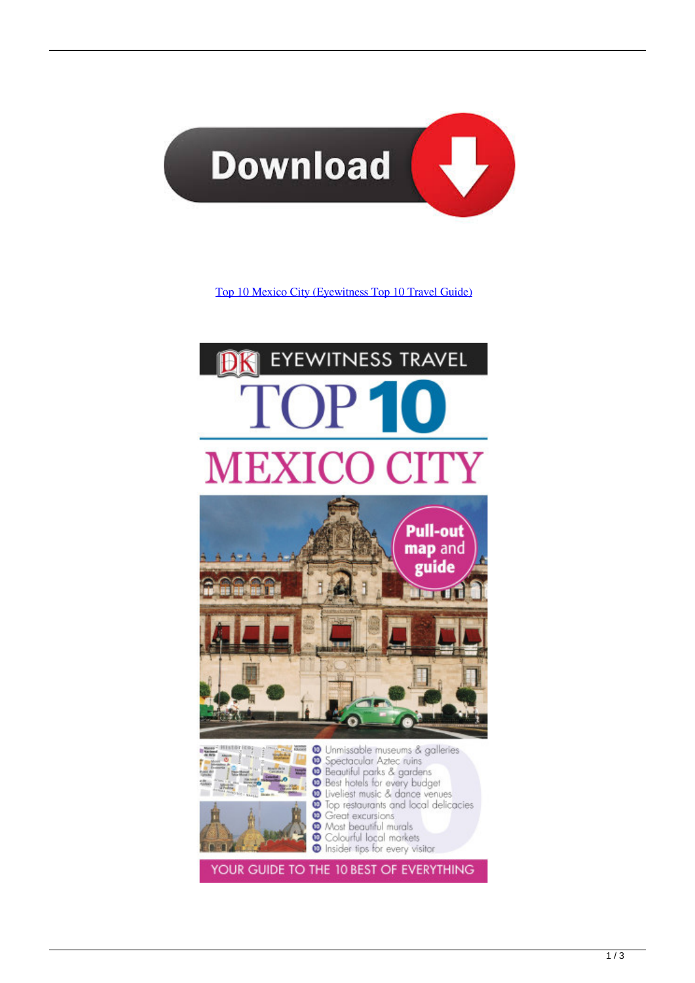

[Top 10 Mexico City \(Eyewitness Top 10 Travel Guide\)](http://bytlly.com/189den)

## **EYEWITNESS TRAVEL**





**C** Unmissable museums & galleries 00 Dimissable museums & gailenes<br>
100 Spectacular Aztec ruins<br>
100 Beautiful parks & gardens<br>
100 Best hotels for every budget<br>
100 Top restaurants and local delicacies **C** Great excursions <sup>O</sup> Most beautiful murals  $\circledcirc$ Colourful local markets **Insider tips for every visitor** 

YOUR GUIDE TO THE 10 BEST OF EVERYTHING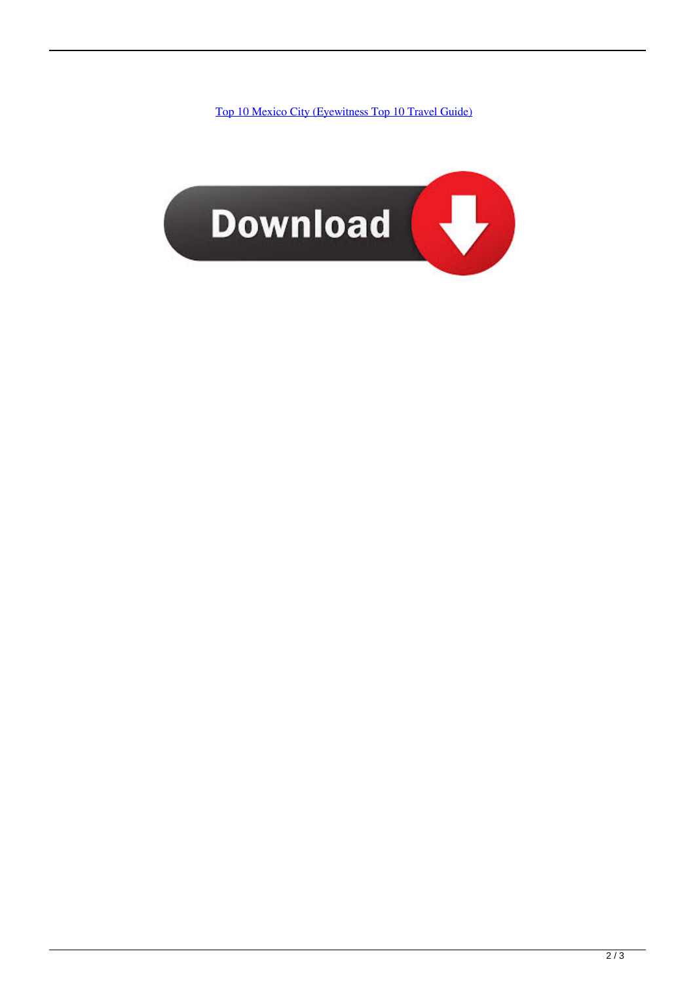[Top 10 Mexico City \(Eyewitness Top 10 Travel Guide\)](http://bytlly.com/189den)